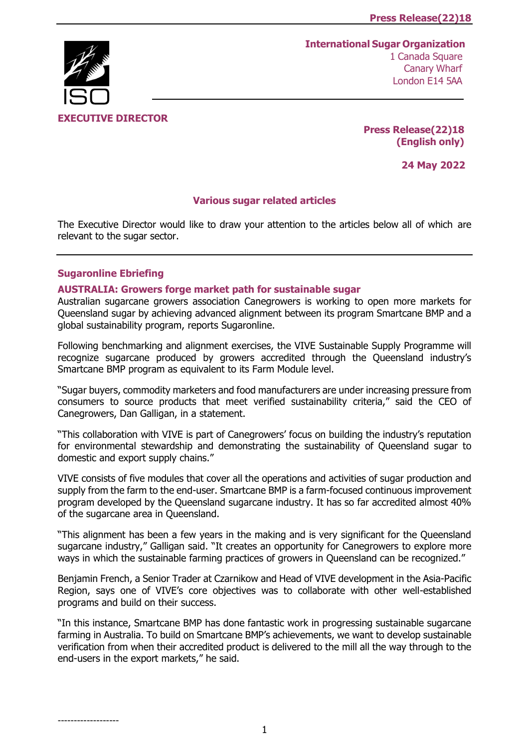# **International Sugar Organization**



 1 Canada Square Canary Wharf London E14 5AA

**Press Release(22)18 (English only)**

**24 May 2022**

## **Various sugar related articles**

The Executive Director would like to draw your attention to the articles below all of which are relevant to the sugar sector.

## **Sugaronline Ebriefing**

-------------------

#### **[AUSTRALIA: Growers forge market path for sustainable sugar](https://www.sugaronline.com/2022/05/19/australia-growers-forge-market-path-for-sustainable-sugar/)**

Australian sugarcane growers association Canegrowers is working to open more markets for Queensland sugar by achieving advanced alignment between its program Smartcane BMP and a global sustainability program, reports Sugaronline.

Following benchmarking and alignment exercises, the VIVE Sustainable Supply Programme will recognize sugarcane produced by growers accredited through the Queensland industry's Smartcane BMP program as equivalent to its Farm Module level.

"Sugar buyers, commodity marketers and food manufacturers are under increasing pressure from consumers to source products that meet verified sustainability criteria," said the CEO of Canegrowers, Dan Galligan, in a statement.

"This collaboration with VIVE is part of Canegrowers' focus on building the industry's reputation for environmental stewardship and demonstrating the sustainability of Queensland sugar to domestic and export supply chains."

VIVE consists of five modules that cover all the operations and activities of sugar production and supply from the farm to the end-user. Smartcane BMP is a farm-focused continuous improvement program developed by the Queensland sugarcane industry. It has so far accredited almost 40% of the sugarcane area in Queensland.

"This alignment has been a few years in the making and is very significant for the Queensland sugarcane industry," Galligan said. "It creates an opportunity for Canegrowers to explore more ways in which the sustainable farming practices of growers in Queensland can be recognized."

Benjamin French, a Senior Trader at Czarnikow and Head of VIVE development in the Asia-Pacific Region, says one of VIVE's core objectives was to collaborate with other well-established programs and build on their success.

"In this instance, Smartcane BMP has done fantastic work in progressing sustainable sugarcane farming in Australia. To build on Smartcane BMP's achievements, we want to develop sustainable verification from when their accredited product is delivered to the mill all the way through to the end-users in the export markets," he said.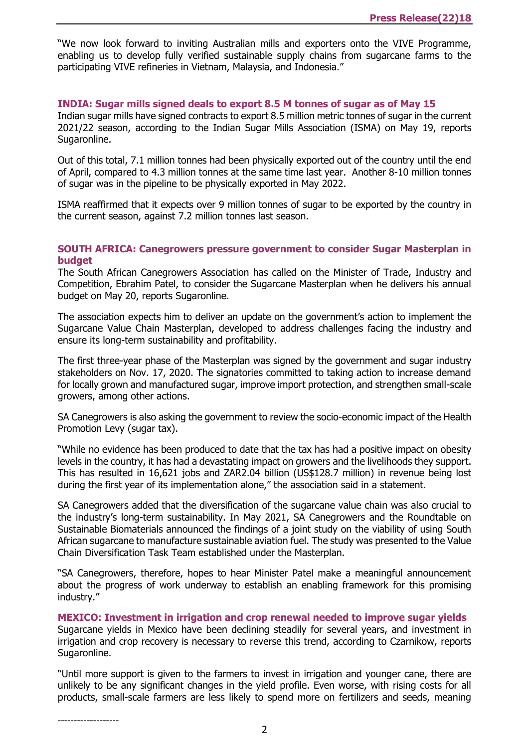"We now look forward to inviting Australian mills and exporters onto the VIVE Programme, enabling us to develop fully verified sustainable supply chains from sugarcane farms to the participating VIVE refineries in Vietnam, Malaysia, and Indonesia."

#### **[INDIA: Sugar mills signed deals to export 8.5 M tonnes of sugar as of May 15](https://www.sugaronline.com/2022/05/19/india-sugar-mills-signed-deals-to-export-8-5-m-tonnes-of-sugar-as-of-may-15/)**

Indian sugar mills have signed contracts to export 8.5 million metric tonnes of sugar in the current 2021/22 season, according to the Indian Sugar Mills Association (ISMA) on May 19, reports Sugaronline.

Out of this total, 7.1 million tonnes had been physically exported out of the country until the end of April, compared to 4.3 million tonnes at the same time last year. Another 8-10 million tonnes of sugar was in the pipeline to be physically exported in May 2022.

ISMA reaffirmed that it expects over 9 million tonnes of sugar to be exported by the country in the current season, against 7.2 million tonnes last season.

#### **[SOUTH AFRICA: Canegrowers pressure government to consider Sugar Masterplan in](https://www.sugaronline.com/2022/05/20/south-africa-canegrowers-pressure-government-to-consider-sugar-masterplan-in-budget/)  [budget](https://www.sugaronline.com/2022/05/20/south-africa-canegrowers-pressure-government-to-consider-sugar-masterplan-in-budget/)**

The South African Canegrowers Association has called on the Minister of Trade, Industry and Competition, Ebrahim Patel, to consider the Sugarcane Masterplan when he delivers his annual budget on May 20, reports Sugaronline.

The association expects him to deliver an update on the government's action to implement the Sugarcane Value Chain Masterplan, developed to address challenges facing the industry and ensure its long-term sustainability and profitability.

The first three-year phase of the Masterplan was signed by the government and sugar industry stakeholders on Nov. 17, 2020. The signatories committed to taking action to increase demand for locally grown and manufactured sugar, improve import protection, and strengthen small-scale growers, among other actions.

SA Canegrowers is also asking the government to review the socio-economic impact of the Health Promotion Levy (sugar tax).

"While no evidence has been produced to date that the tax has had a positive impact on obesity levels in the country, it has had a devastating impact on growers and the livelihoods they support. This has resulted in 16,621 jobs and ZAR2.04 billion (US\$128.7 million) in revenue being lost during the first year of its implementation alone," the association said in a statement.

SA Canegrowers added that the diversification of the sugarcane value chain was also crucial to the industry's long-term sustainability. In May 2021, SA Canegrowers and the Roundtable on Sustainable Biomaterials announced the findings of a joint study on the viability of using South African sugarcane to manufacture sustainable aviation fuel. The study was presented to the Value Chain Diversification Task Team established under the Masterplan.

"SA Canegrowers, therefore, hopes to hear Minister Patel make a meaningful announcement about the progress of work underway to establish an enabling framework for this promising industry."

**[MEXICO: Investment in irrigation and crop renewal needed to improve sugar yields](https://www.sugaronline.com/2022/05/20/mexico-investment-in-irrigation-and-crop-renewal-needed-to-improve-sugar-yields/)** Sugarcane yields in Mexico have been declining steadily for several years, and investment in irrigation and crop recovery is necessary to reverse this trend, according to Czarnikow, reports Sugaronline.

"Until more support is given to the farmers to invest in irrigation and younger cane, there are unlikely to be any significant changes in the yield profile. Even worse, with rising costs for all products, small-scale farmers are less likely to spend more on fertilizers and seeds, meaning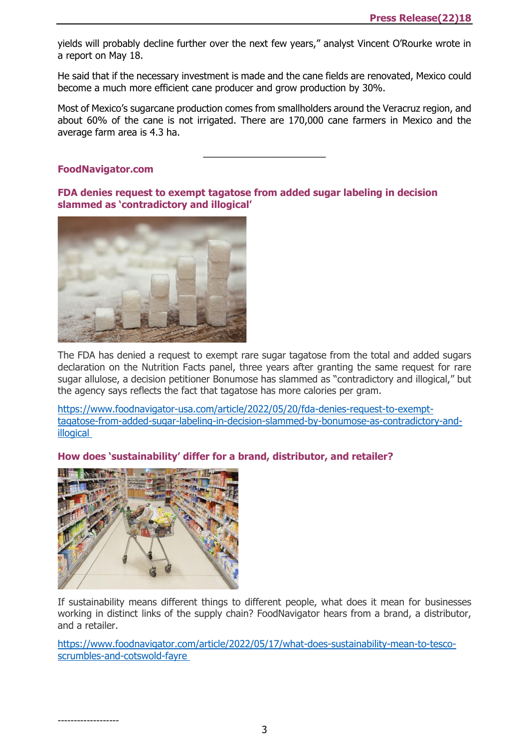yields will probably decline further over the next few years," analyst Vincent O'Rourke wrote in a report on May 18.

He said that if the necessary investment is made and the cane fields are renovated, Mexico could become a much more efficient cane producer and grow production by 30%.

Most of Mexico's sugarcane production comes from smallholders around the Veracruz region, and about 60% of the cane is not irrigated. There are 170,000 cane farmers in Mexico and the average farm area is 4.3 ha.

 $\overline{\phantom{a}}$  , where  $\overline{\phantom{a}}$  , where  $\overline{\phantom{a}}$  , where  $\overline{\phantom{a}}$  , where  $\overline{\phantom{a}}$ 

#### **FoodNavigator.com**

**[FDA denies request to exempt tagatose from added sugar labeling in decision](https://www.foodnavigator-usa.com/Article/2022/05/20/FDA-denies-request-to-exempt-tagatose-from-added-sugar-labeling-in-decision-slammed-by-Bonumose-as-contradictory-and-illogical?utm_source=copyright&utm_medium=OnSite&utm_campaign=copyright)  [slammed as 'contradictory and illogical'](https://www.foodnavigator-usa.com/Article/2022/05/20/FDA-denies-request-to-exempt-tagatose-from-added-sugar-labeling-in-decision-slammed-by-Bonumose-as-contradictory-and-illogical?utm_source=copyright&utm_medium=OnSite&utm_campaign=copyright)**



The FDA has denied a request to exempt rare sugar tagatose from the total and added sugars declaration on the Nutrition Facts panel, three years after granting the same request for rare sugar allulose, a decision petitioner Bonumose has slammed as "contradictory and illogical," but the agency says reflects the fact that tagatose has more calories per gram.

[https://www.foodnavigator-usa.com/article/2022/05/20/fda-denies-request-to-exempt](https://www.foodnavigator-usa.com/Article/2022/05/20/FDA-denies-request-to-exempt-tagatose-from-added-sugar-labeling-in-decision-slammed-by-Bonumose-as-contradictory-and-illogical?utm_source=copyright&utm_medium=OnSite&utm_campaign=copyright)[tagatose-from-added-sugar-labeling-in-decision-slammed-by-bonumose-as-contradictory-and](https://www.foodnavigator-usa.com/Article/2022/05/20/FDA-denies-request-to-exempt-tagatose-from-added-sugar-labeling-in-decision-slammed-by-Bonumose-as-contradictory-and-illogical?utm_source=copyright&utm_medium=OnSite&utm_campaign=copyright)[illogical](https://www.foodnavigator-usa.com/Article/2022/05/20/FDA-denies-request-to-exempt-tagatose-from-added-sugar-labeling-in-decision-slammed-by-Bonumose-as-contradictory-and-illogical?utm_source=copyright&utm_medium=OnSite&utm_campaign=copyright)

#### **[How does 'sustainability' differ for a brand, distributor, and retailer?](https://www.foodnavigator.com/Article/2022/05/17/What-does-sustainability-mean-to-Tesco-Scrumbles-and-Cotswold-Fayre?utm_source=copyright&utm_medium=OnSite&utm_campaign=copyright)**



-------------------

If sustainability means different things to different people, what does it mean for businesses working in distinct links of the supply chain? FoodNavigator hears from a brand, a distributor, and a retailer.

[https://www.foodnavigator.com/article/2022/05/17/what-does-sustainability-mean-to-tesco](https://www.foodnavigator.com/Article/2022/05/17/What-does-sustainability-mean-to-Tesco-Scrumbles-and-Cotswold-Fayre?utm_source=copyright&utm_medium=OnSite&utm_campaign=copyright)[scrumbles-and-cotswold-fayre](https://www.foodnavigator.com/Article/2022/05/17/What-does-sustainability-mean-to-Tesco-Scrumbles-and-Cotswold-Fayre?utm_source=copyright&utm_medium=OnSite&utm_campaign=copyright)